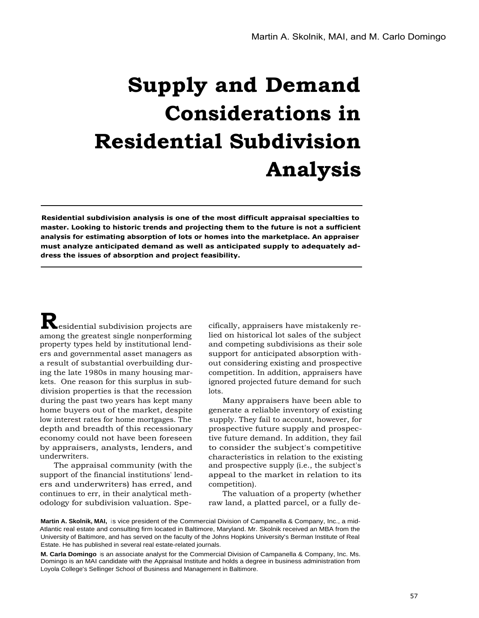# **Supply and Demand Considerations in Residential Subdivision Analysis**

**Residential subdivision analysis is one of the most difficult appraisal specialties to master. Looking to historic trends and projecting them to the future is not a sufficient analysis for estimating absorption of lots or homes into the marketplace. An appraiser must analyze anticipated demand as well as anticipated supply to adequately address the issues of absorption and project feasibility.**

**R**esidential subdivision projects are among the greatest single nonperforming property types held by institutional lenders and governmental asset managers as a result of substantial overbuilding during the late 1980s in many housing markets. One reason for this surplus in subdivision properties is that the recession during the past two years has kept many home buyers out of the market, despite low interest rates for home mortgages. The depth and breadth of this recessionary economy could not have been foreseen by appraisers, analysts, lenders, and underwriters.

The appraisal community (with the support of the financial institutions' lenders and underwriters) has erred, and continues to err, in their analytical methodology for subdivision valuation. Spe-

cifically, appraisers have mistakenly relied on historical lot sales of the subject and competing subdivisions as their sole support for anticipated absorption without considering existing and prospective competition. In addition, appraisers have ignored projected future demand for such lots.

Many appraisers have been able to generate a reliable inventory of existing supply. They fail to account, however, for prospective future supply and prospective future demand. In addition, they fail to consider the subject's competitive characteristics in relation to the existing and prospective supply (i.e., the subject's appeal to the market in relation to its competition).

The valuation of a property (whether raw land, a platted parcel, or a fully de-

**Martin A. Skolnik, MAI, is vice president of the Commercial Division of Campanella & Company, Inc., a mid-**Atlantic real estate and consulting firm located in Baltimore, Maryland. Mr. Skolnik received an MBA from the University of Baltimore, and has served on the faculty of the Johns Hopkins University's Berman Institute of Real Estate. He has published in several real estate-related journals.

**M. Carla Domingo** is an associate analyst for the Commercial Division of Campanella & Company, Inc. Ms. Domingo is an MAI candidate with the Appraisal Institute and holds a degree in business administration from Loyola College's Sellinger School of Business and Management in Baltimore.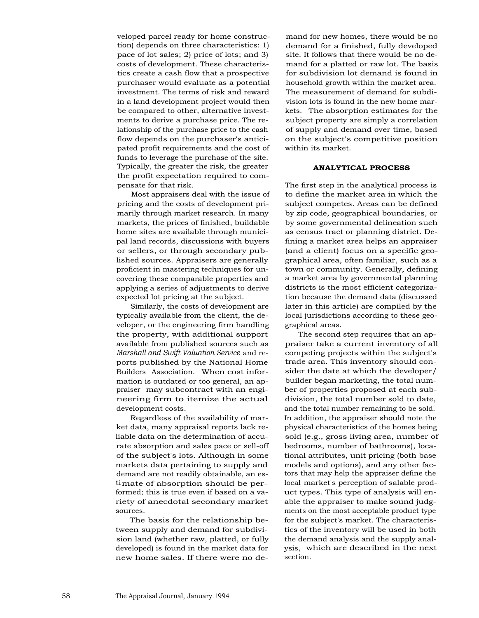veloped parcel ready for home construction) depends on three characteristics: 1) pace of lot sales; 2) price of lots; and 3) costs of development. These characteristics create a cash flow that a prospective purchaser would evaluate as a potential investment. The terms of risk and reward in a land development project would then be compared to other, alternative investments to derive a purchase price. The relationship of the purchase price to the cash flow depends on the purchaser's anticipated profit requirements and the cost of funds to leverage the purchase of the site. Typically, the greater the risk, the greater the profit expectation required to compensate for that risk.

Most appraisers deal with the issue of pricing and the costs of development primarily through market research. In many markets, the prices of finished, buildable home sites are available through municipal land records, discussions with buyers or sellers, or through secondary published sources. Appraisers are generally proficient in mastering techniques for uncovering these comparable properties and applying a series of adjustments to derive expected lot pricing at the subject.

Similarly, the costs of development are typically available from the client, the developer, or the engineering firm handling the property, with additional support available from published sources such as *Marshall and Swift Valuation Service* and reports published by the National Home Builders Association. When cost information is outdated or too general, an appraiser may subcontract with an engineering firm to itemize the actual development costs.

Regardless of the availability of market data, many appraisal reports lack reliable data on the determination of accurate absorption and sales pace or sell-off of the subject's lots. Although in some markets data pertaining to supply and demand are not readily obtainable, an estimate of absorption should be performed; this is true even if based on a variety of anecdotal secondary market sources.

The basis for the relationship between supply and demand for subdivision land (whether raw, platted, or fully developed) is found in the market data for new home sales. If there were no demand for new homes, there would be no demand for a finished, fully developed site. It follows that there would be no demand for a platted or raw lot. The basis for subdivision lot demand is found in household growth within the market area. The measurement of demand for subdivision lots is found in the new home markets. The absorption estimates for the subject property are simply a correlation of supply and demand over time, based on the subject's competitive position within its market.

## **ANALYTICAL PROCESS**

The first step in the analytical process is to define the market area in which the subject competes. Areas can be defined by zip code, geographical boundaries, or by some governmental delineation such as census tract or planning district. Defining a market area helps an appraiser (and a client) focus on a specific geographical area, often familiar, such as a town or community. Generally, defining a market area by governmental planning districts is the most efficient categorization because the demand data (discussed later in this article) are compiled by the local jurisdictions according to these geographical areas.

The second step requires that an appraiser take a current inventory of all competing projects within the subject's trade area. This inventory should consider the date at which the developer/ builder began marketing, the total number of properties proposed at each subdivision, the total number sold to date, and the total number remaining to be sold. In addition, the appraiser should note the physical characteristics of the homes being sold (e.g., gross living area, number of bedrooms, number of bathrooms), locational attributes, unit pricing (both base models and options), and any other factors that may help the appraiser define the local market's perception of salable product types. This type of analysis will enable the appraiser to make sound judgments on the most acceptable product type for the subject's market. The characteristics of the inventory will be used in both the demand analysis and the supply analysis, which are described in the next section.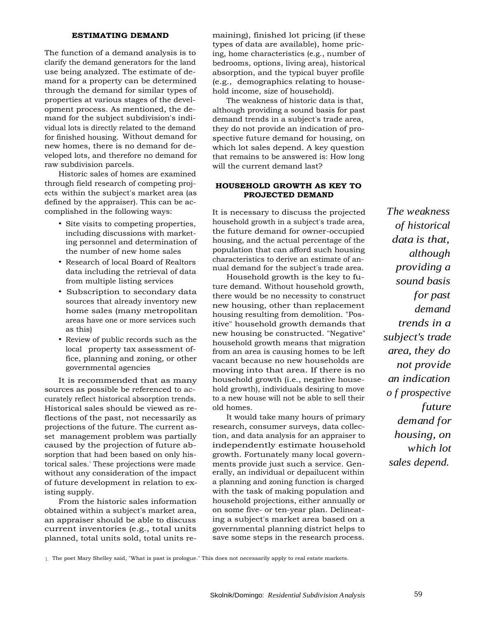# **ESTIMATING DEMAND**

The function of a demand analysis is to clarify the demand generators for the land use being analyzed. The estimate of demand for a property can be determined through the demand for similar types of properties at various stages of the development process. As mentioned, the demand for the subject subdivision's individual lots is directly related to the demand for finished housing. Without demand for new homes, there is no demand for developed lots, and therefore no demand for raw subdivision parcels.

Historic sales of homes are examined through field research of competing projects within the subject's market area (as defined by the appraiser). This can be accomplished in the following ways:

- Site visits to competing properties, including discussions with marketing personnel and determination of the number of new home sales
- Research of local Board of Realtors data including the retrieval of data from multiple listing services
- Subscription to secondary data sources that already inventory new home sales (many metropolitan areas have one or more services such as this)
- Review of public records such as the local property tax assessment office, planning and zoning, or other governmental agencies

It is recommended that as many sources as possible be referenced to accurately reflect historical absorption trends. Historical sales should be viewed as reflections of the past, not necessarily as projections of the future. The current asset management problem was partially caused by the projection of future absorption that had been based on only historical sales.' These projections were made without any consideration of the impact of future development in relation to existing supply.

From the historic sales information obtained within a subject's market area, an appraiser should be able to discuss current inventories (e.g., total units planned, total units sold, total units remaining), finished lot pricing (if these types of data are available), home pricing, home characteristics (e.g., number of bedrooms, options, living area), historical absorption, and the typical buyer profile (e.g., demographics relating to household income, size of household).

The weakness of historic data is that, although providing a sound basis for past demand trends in a subject's trade area, they do not provide an indication of prospective future demand for housing, on which lot sales depend. A key question that remains to be answered is: How long will the current demand last?

# **HOUSEHOLD GROWTH AS KEY TO PROJECTED DEMAND**

It is necessary to discuss the projected household growth in a subject's trade area, the future demand for owner-occupied housing, and the actual percentage of the population that can afford such housing characteristics to derive an estimate of annual demand for the subject's trade area.

Household growth is the key to future demand. Without household growth, there would be no necessity to construct new housing, other than replacement housing resulting from demolition. "Positive" household growth demands that new housing be constructed. "Negative" household growth means that migration from an area is causing homes to be left vacant because no new households are moving into that area. If there is no household growth (i.e., negative household growth), individuals desiring to move to a new house will not be able to sell their old homes.

It would take many hours of primary research, consumer surveys, data collection, and data analysis for an appraiser to independently estimate household growth. Fortunately many local governments provide just such a service. Generally, an individual or depailucent within a planning and zoning function is charged with the task of making population and household projections, either annually or on some five- or ten-year plan. Delineating a subject's market area based on a governmental planning district helps to save some steps in the research process.

*The weakness of historical data is that, although providing a sound basis for past demand trends in a subject's trade area, they do not provide an indication o f prospective future demand for housing, on which lot sales depend.*

1. The poet Mary Shelley said, "What is past is prologue." This does not necessarily apply to real estate markets.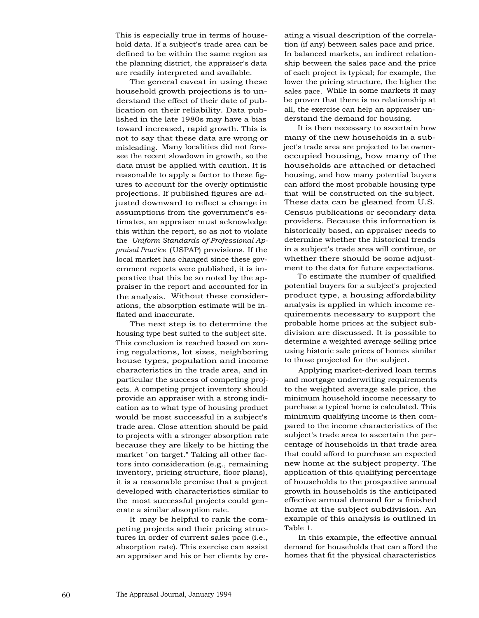This is especially true in terms of household data. If a subject's trade area can be defined to be within the same region as the planning district, the appraiser's data are readily interpreted and available.

The general caveat in using these household growth projections is to understand the effect of their date of publication on their reliability. Data published in the late 1980s may have a bias toward increased, rapid growth. This is not to say that these data are wrong or misleading. Many localities did not foresee the recent slowdown in growth, so the data must be applied with caution. It is reasonable to apply a factor to these figures to account for the overly optimistic projections. If published figures are adjusted downward to reflect a change in assumptions from the government's estimates, an appraiser must acknowledge this within the report, so as not to violate the *Uniform Standards of Professional Appraisal Practice* (USPAP) provisions. If the local market has changed since these government reports were published, it is imperative that this be so noted by the appraiser in the report and accounted for in the analysis. Without these considerations, the absorption estimate will be inflated and inaccurate.

The next step is to determine the housing type best suited to the subject site. This conclusion is reached based on zoning regulations, lot sizes, neighboring house types, population and income characteristics in the trade area, and in particular the success of competing projects. A competing project inventory should provide an appraiser with a strong indication as to what type of housing product would be most successful in a subject's trade area. Close attention should be paid to projects with a stronger absorption rate because they are likely to be hitting the market "on target." Taking all other factors into consideration (e.g., remaining inventory, pricing structure, floor plans), it is a reasonable premise that a project developed with characteristics similar to the most successful projects could generate a similar absorption rate.

It may be helpful to rank the competing projects and their pricing structures in order of current sales pace (i.e., absorption rate). This exercise can assist an appraiser and his or her clients by creating a visual description of the correlation (if any) between sales pace and price. In balanced markets, an indirect relationship between the sales pace and the price of each project is typical; for example, the lower the pricing structure, the higher the sales pace. While in some markets it may be proven that there is no relationship at all, the exercise can help an appraiser understand the demand for housing.

It is then necessary to ascertain how many of the new households in a subject's trade area are projected to be owneroccupied housing, how many of the households are attached or detached housing, and how many potential buyers can afford the most probable housing type that will be constructed on the subject. These data can be gleaned from U.S. Census publications or secondary data providers. Because this information is historically based, an appraiser needs to determine whether the historical trends in a subject's trade area will continue, or whether there should be some adjustment to the data for future expectations.

To estimate the number of qualified potential buyers for a subject's projected product type, a housing affordability analysis is applied in which income requirements necessary to support the probable home prices at the subject subdivision are discussed. It is possible to determine a weighted average selling price using historic sale prices of homes similar to those projected for the subject.

Applying market-derived loan terms and mortgage underwriting requirements to the weighted average sale price, the minimum household income necessary to purchase a typical home is calculated. This minimum qualifying income is then compared to the income characteristics of the subject's trade area to ascertain the percentage of households in that trade area that could afford to purchase an expected new home at the subject property. The application of this qualifying percentage of households to the prospective annual growth in households is the anticipated effective annual demand for a finished home at the subject subdivision. An example of this analysis is outlined in Table 1.

In this example, the effective annual demand for households that can afford the homes that fit the physical characteristics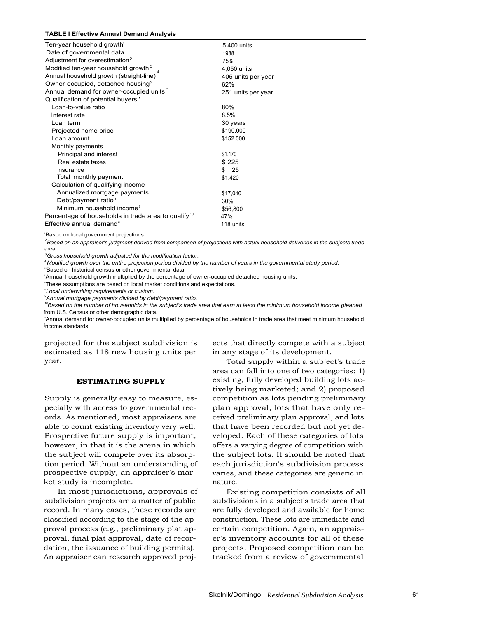#### **TABLE I Effective Annual Demand Analysis**

| Ten-year household growth'                             | 5,400 units        |
|--------------------------------------------------------|--------------------|
| Date of governmental data                              | 1988               |
| Adjustment for overestimation <sup>2</sup>             | 75%                |
| Modified ten-year household growth <sup>3</sup>        | 4,050 units        |
| Annual household growth (straight-line)                | 405 units per year |
| Owner-occupied, detached housing <sup>s</sup>          | 62%                |
| Annual demand for owner-occupied units                 | 251 units per year |
| Qualification of potential buyers:'                    |                    |
| Loan-to-value ratio                                    | 80%                |
| Interest rate                                          | 8.5%               |
| Loan term                                              | 30 years           |
| Projected home price                                   | \$190,000          |
| Loan amount                                            | \$152,000          |
| Monthly payments                                       |                    |
| Principal and interest                                 | \$1,170            |
| Real estate taxes                                      | \$225              |
| Insurance                                              | 25<br>\$           |
| Total monthly payment                                  | \$1,420            |
| Calculation of qualifying income                       |                    |
| Annualized mortgage payments                           | \$17,040           |
| Debt/payment ratio $8$                                 | 30%                |
| Minimum household income <sup>9</sup>                  | \$56,800           |
| Percentage of households in trade area to qualify $10$ | 47%                |
| Effective annual demand"                               | 118 units          |

'Based on local government projections.

*2 Based on an appraiser's judgment derived from comparison of projections with actual household deliveries in the subjects trade* area.

*<sup>3</sup>Gross household growth adjusted for the modification factor.*

*<sup>4</sup> Modified growth over the entire projection period divided by the number of years in the governmental study period.*

"Based on historical census or other governmental data.

'Annual household growth multiplied by the percentage of owner-occupied detached housing units.

'These assumptions are based on local market conditions and expectations.

*<sup>8</sup>Local underwriting requirements or custom.*

*<sup>9</sup>Annual mortgage payments divided by debt/payment ratio.*

*<sup>10</sup>Based on the number of households in the subject's trade area that earn at least the minimum household income gleaned* from U.S. Census or other demographic data.

"Annual demand for owner-occupied units multiplied by percentage of households in trade area that meet minimum household income standards.

projected for the subject subdivision is estimated as 118 new housing units per year.

#### **ESTIMATING SUPPLY**

Supply is generally easy to measure, especially with access to governmental records. As mentioned, most appraisers are able to count existing inventory very well. Prospective future supply is important, however, in that it is the arena in which the subject will compete over its absorption period. Without an understanding of prospective supply, an appraiser's market study is incomplete.

In most jurisdictions, approvals of subdivision projects are a matter of public record. In many cases, these records are classified according to the stage of the approval process (e.g., preliminary plat approval, final plat approval, date of recordation, the issuance of building permits). An appraiser can research approved projects that directly compete with a subject in any stage of its development.

Total supply within a subject's trade area can fall into one of two categories: 1) existing, fully developed building lots actively being marketed; and 2) proposed competition as lots pending preliminary plan approval, lots that have only received preliminary plan approval, and lots that have been recorded but not yet developed. Each of these categories of lots offers a varying degree of competition with the subject lots. It should be noted that each jurisdiction's subdivision process varies, and these categories are generic in nature.

Existing competition consists of all subdivisions in a subject's trade area that are fully developed and available for home construction. These lots are immediate and certain competition. Again, an appraiser's inventory accounts for all of these projects. Proposed competition can be tracked from a review of governmental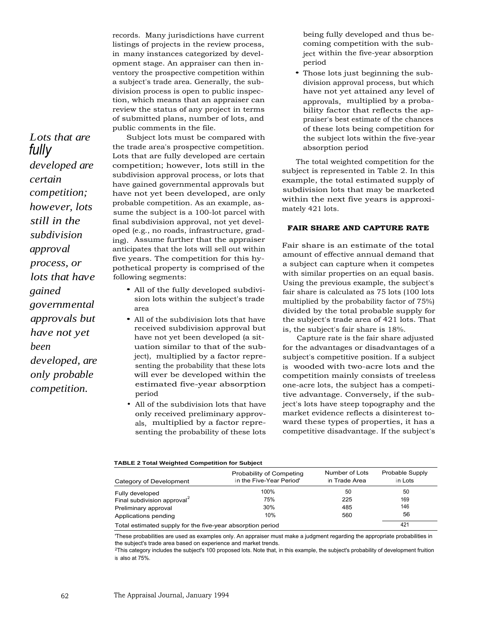*Lots that are fully developed are certain competition; however, lots still in the subdivision approval process, or lots that have gained governmental approvals but have not yet been developed, are only probable competition.*

records. Many jurisdictions have current listings of projects in the review process, in many instances categorized by development stage. An appraiser can then inventory the prospective competition within a subject's trade area. Generally, the subdivision process is open to public inspection, which means that an appraiser can review the status of any project in terms of submitted plans, number of lots, and public comments in the file.

Subject lots must be compared with the trade area's prospective competition. Lots that are fully developed are certain competition; however, lots still in the subdivision approval process, or lots that have gained governmental approvals but have not yet been developed, are only probable competition. As an example, assume the subject is a 100-lot parcel with final subdivision approval, not yet developed (e.g., no roads, infrastructure, grading). Assume further that the appraiser anticipates that the lots will sell out within five years. The competition for this hypothetical property is comprised of the following segments:

- All of the fully developed subdivision lots within the subject's trade area
- All of the subdivision lots that have received subdivision approval but have not yet been developed (a situation similar to that of the subject), multiplied by a factor representing the probability that these lots will ever be developed within the estimated five-year absorption period
- All of the subdivision lots that have only received preliminary approvals, multiplied by a factor representing the probability of these lots

being fully developed and thus becoming competition with the subject within the five-year absorption period

• Those lots just beginning the subdivision approval process, but which have not yet attained any level of approvals, multiplied by a probability factor that reflects the appraiser's best estimate of the chances of these lots being competition for the subject lots within the five-year absorption period

The total weighted competition for the subject is represented in Table 2. In this example, the total estimated supply of subdivision lots that may be marketed within the next five years is approximately 421 lots.

## **FAIR SHARE AND CAPTURE RATE**

Fair share is an estimate of the total amount of effective annual demand that a subject can capture when it competes with similar properties on an equal basis. Using the previous example, the subject's fair share is calculated as 75 lots (100 lots multiplied by the probability factor of 75%) divided by the total probable supply for the subject's trade area of 421 lots. That is, the subject's fair share is 18%.

Capture rate is the fair share adjusted for the advantages or disadvantages of a subject's competitive position. If a subject is wooded with two-acre lots and the competition mainly consists of treeless one-acre lots, the subject has a competitive advantage. Conversely, if the subject's lots have steep topography and the market evidence reflects a disinterest toward these types of properties, it has a competitive disadvantage. If the subject's

#### **TABLE 2 Total Weighted Competition for Subject**

| Category of Development                                    | Probability of Competing<br>in the Five-Year Period' | Number of Lots<br>in Trade Area | Probable Supply<br>in Lots |
|------------------------------------------------------------|------------------------------------------------------|---------------------------------|----------------------------|
| Fully developed                                            | 100%                                                 | 50                              | 50                         |
| Final subdivision approval <sup>2</sup>                    | 75%                                                  | 225                             | 169                        |
| Preliminary approval                                       | 30%                                                  | 485                             | 146                        |
| Applications pending                                       | 10%                                                  | 560                             | 56                         |
| Total estimated supply for the five-year absorption period |                                                      |                                 | 421                        |

'These probabilities are used as examples only. An appraiser must make a judgment regarding the appropriate probabilities in the subject's trade area based on experience and market trends.

<sup>2</sup>This category includes the subject's 100 proposed lots. Note that, in this example, the subject's probability of development fruition is also at 75%.